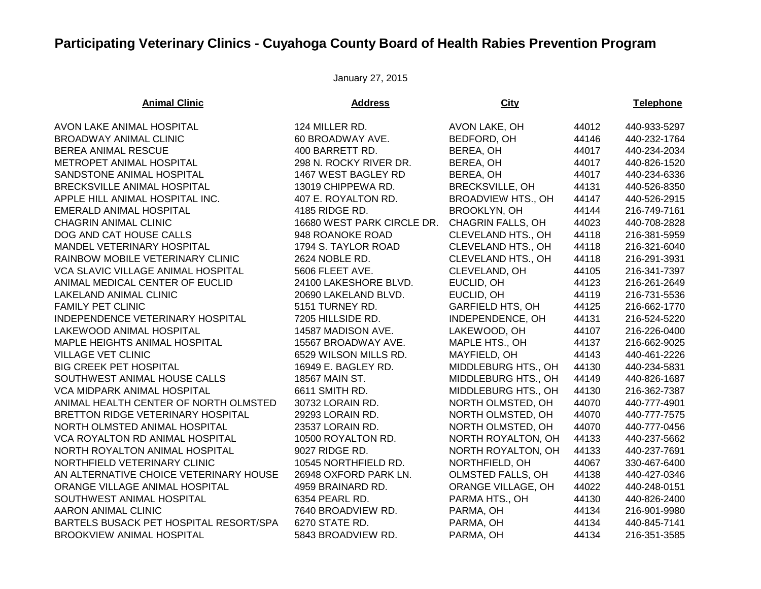## **Participating Veterinary Clinics - Cuyahoga County Board of Health Rabies Prevention Program**

January 27, 2015

| <b>Animal Clinic</b>                      | <b>Address</b>             | <b>City</b>               |       | <b>Telephone</b> |
|-------------------------------------------|----------------------------|---------------------------|-------|------------------|
| AVON LAKE ANIMAL HOSPITAL                 | 124 MILLER RD.             | AVON LAKE, OH             | 44012 | 440-933-5297     |
| BROADWAY ANIMAL CLINIC                    | 60 BROADWAY AVE.           | BEDFORD, OH               | 44146 | 440-232-1764     |
| BEREA ANIMAL RESCUE                       | 400 BARRETT RD.            | BEREA, OH                 | 44017 | 440-234-2034     |
| METROPET ANIMAL HOSPITAL                  | 298 N. ROCKY RIVER DR.     | BEREA, OH                 | 44017 | 440-826-1520     |
| SANDSTONE ANIMAL HOSPITAL                 | 1467 WEST BAGLEY RD        | BEREA, OH                 | 44017 | 440-234-6336     |
| BRECKSVILLE ANIMAL HOSPITAL               | 13019 CHIPPEWA RD.         | <b>BRECKSVILLE, OH</b>    | 44131 | 440-526-8350     |
| APPLE HILL ANIMAL HOSPITAL INC.           | 407 E. ROYALTON RD.        | <b>BROADVIEW HTS., OH</b> | 44147 | 440-526-2915     |
| <b>EMERALD ANIMAL HOSPITAL</b>            | 4185 RIDGE RD.             | <b>BROOKLYN, OH</b>       | 44144 | 216-749-7161     |
| <b>CHAGRIN ANIMAL CLINIC</b>              | 16680 WEST PARK CIRCLE DR. | <b>CHAGRIN FALLS, OH</b>  | 44023 | 440-708-2828     |
| DOG AND CAT HOUSE CALLS                   | 948 ROANOKE ROAD           | <b>CLEVELAND HTS., OH</b> | 44118 | 216-381-5959     |
| MANDEL VETERINARY HOSPITAL                | 1794 S. TAYLOR ROAD        | CLEVELAND HTS., OH        | 44118 | 216-321-6040     |
| RAINBOW MOBILE VETERINARY CLINIC          | 2624 NOBLE RD.             | CLEVELAND HTS., OH        | 44118 | 216-291-3931     |
| <b>VCA SLAVIC VILLAGE ANIMAL HOSPITAL</b> | 5606 FLEET AVE.            | CLEVELAND, OH             | 44105 | 216-341-7397     |
| ANIMAL MEDICAL CENTER OF EUCLID           | 24100 LAKESHORE BLVD.      | EUCLID, OH                | 44123 | 216-261-2649     |
| LAKELAND ANIMAL CLINIC                    | 20690 LAKELAND BLVD.       | EUCLID, OH                | 44119 | 216-731-5536     |
| <b>FAMILY PET CLINIC</b>                  | 5151 TURNEY RD.            | <b>GARFIELD HTS, OH</b>   | 44125 | 216-662-1770     |
| INDEPENDENCE VETERINARY HOSPITAL          | 7205 HILLSIDE RD.          | INDEPENDENCE, OH          | 44131 | 216-524-5220     |
| LAKEWOOD ANIMAL HOSPITAL                  | 14587 MADISON AVE.         | LAKEWOOD, OH              | 44107 | 216-226-0400     |
| MAPLE HEIGHTS ANIMAL HOSPITAL             | 15567 BROADWAY AVE.        | MAPLE HTS., OH            | 44137 | 216-662-9025     |
| <b>VILLAGE VET CLINIC</b>                 | 6529 WILSON MILLS RD.      | MAYFIELD, OH              | 44143 | 440-461-2226     |
| <b>BIG CREEK PET HOSPITAL</b>             | 16949 E. BAGLEY RD.        | MIDDLEBURG HTS., OH       | 44130 | 440-234-5831     |
| SOUTHWEST ANIMAL HOUSE CALLS              | 18567 MAIN ST.             | MIDDLEBURG HTS., OH       | 44149 | 440-826-1687     |
| VCA MIDPARK ANIMAL HOSPITAL               | 6611 SMITH RD.             | MIDDLEBURG HTS., OH       | 44130 | 216-362-7387     |
| ANIMAL HEALTH CENTER OF NORTH OLMSTED     | 30732 LORAIN RD.           | NORTH OLMSTED, OH         | 44070 | 440-777-4901     |
| BRETTON RIDGE VETERINARY HOSPITAL         | 29293 LORAIN RD.           | NORTH OLMSTED, OH         | 44070 | 440-777-7575     |
| NORTH OLMSTED ANIMAL HOSPITAL             | 23537 LORAIN RD.           | NORTH OLMSTED, OH         | 44070 | 440-777-0456     |
| VCA ROYALTON RD ANIMAL HOSPITAL           | 10500 ROYALTON RD.         | NORTH ROYALTON, OH        | 44133 | 440-237-5662     |
| NORTH ROYALTON ANIMAL HOSPITAL            | 9027 RIDGE RD.             | NORTH ROYALTON, OH        | 44133 | 440-237-7691     |
| NORTHFIELD VETERINARY CLINIC              | 10545 NORTHFIELD RD.       | NORTHFIELD, OH            | 44067 | 330-467-6400     |
| AN ALTERNATIVE CHOICE VETERINARY HOUSE    | 26948 OXFORD PARK LN.      | OLMSTED FALLS, OH         | 44138 | 440-427-0346     |
| ORANGE VILLAGE ANIMAL HOSPITAL            | 4959 BRAINARD RD.          | ORANGE VILLAGE, OH        | 44022 | 440-248-0151     |
| SOUTHWEST ANIMAL HOSPITAL                 | 6354 PEARL RD.             | PARMA HTS., OH            | 44130 | 440-826-2400     |
| <b>AARON ANIMAL CLINIC</b>                | 7640 BROADVIEW RD.         | PARMA, OH                 | 44134 | 216-901-9980     |
| BARTELS BUSACK PET HOSPITAL RESORT/SPA    | 6270 STATE RD.             | PARMA, OH                 | 44134 | 440-845-7141     |
| <b>BROOKVIEW ANIMAL HOSPITAL</b>          | 5843 BROADVIEW RD.         | PARMA, OH                 | 44134 | 216-351-3585     |